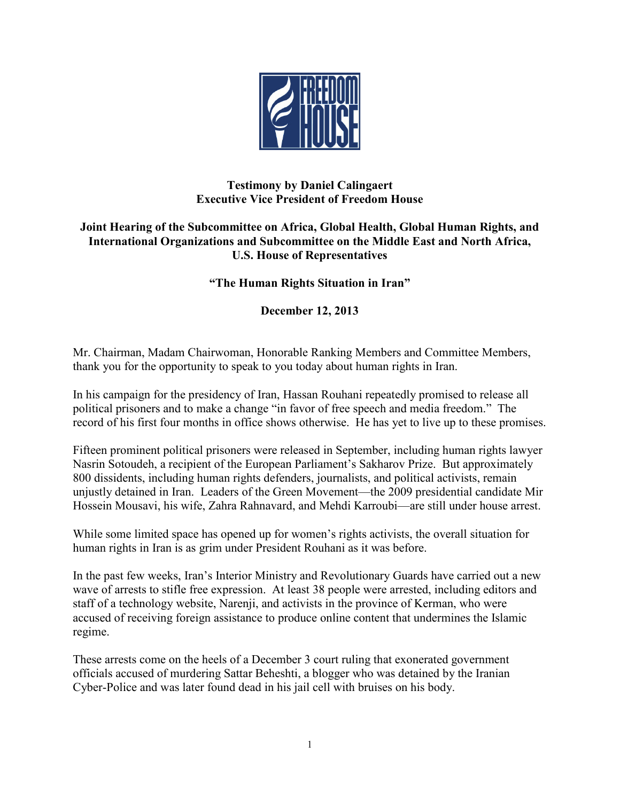

## **Testimony by Daniel Calingaert Executive Vice President of Freedom House**

## **Joint Hearing of the Subcommittee on Africa, Global Health, Global Human Rights, and International Organizations and Subcommittee on the Middle East and North Africa, U.S. House of Representatives**

## **"The Human Rights Situation in Iran"**

**December 12, 2013**

Mr. Chairman, Madam Chairwoman, Honorable Ranking Members and Committee Members, thank you for the opportunity to speak to you today about human rights in Iran.

In his campaign for the presidency of Iran, Hassan Rouhani repeatedly promised to release all political prisoners and to make a change "in favor of free speech and media freedom." The record of his first four months in office shows otherwise. He has yet to live up to these promises.

Fifteen prominent political prisoners were released in September, including human rights lawyer Nasrin Sotoudeh, a recipient of the European Parliament's Sakharov Prize. But approximately 800 dissidents, including human rights defenders, journalists, and political activists, remain unjustly detained in Iran. Leaders of the Green Movement—the 2009 presidential candidate Mir Hossein Mousavi, his wife, Zahra Rahnavard, and Mehdi Karroubi—are still under house arrest.

While some limited space has opened up for women's rights activists, the overall situation for human rights in Iran is as grim under President Rouhani as it was before.

In the past few weeks, Iran's Interior Ministry and Revolutionary Guards have carried out a new wave of arrests to stifle free expression. At least 38 people were arrested, including editors and staff of a technology website, Narenji, and activists in the province of Kerman, who were accused of receiving foreign assistance to produce online content that undermines the Islamic regime.

These arrests come on the heels of a December 3 court ruling that exonerated government officials accused of murdering Sattar Beheshti, a blogger who was detained by the Iranian Cyber-Police and was later found dead in his jail cell with bruises on his body.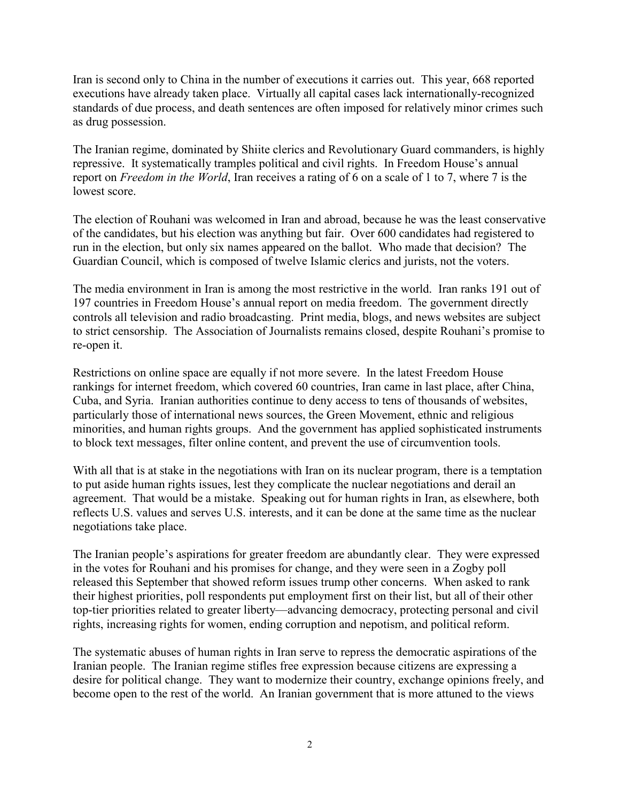Iran is second only to China in the number of executions it carries out. This year, 668 reported executions have already taken place. Virtually all capital cases lack internationally-recognized standards of due process, and death sentences are often imposed for relatively minor crimes such as drug possession.

The Iranian regime, dominated by Shiite clerics and Revolutionary Guard commanders, is highly repressive. It systematically tramples political and civil rights. In Freedom House's annual report on *Freedom in the World*, Iran receives a rating of 6 on a scale of 1 to 7, where 7 is the lowest score.

The election of Rouhani was welcomed in Iran and abroad, because he was the least conservative of the candidates, but his election was anything but fair. Over 600 candidates had registered to run in the election, but only six names appeared on the ballot. Who made that decision? The Guardian Council, which is composed of twelve Islamic clerics and jurists, not the voters.

The media environment in Iran is among the most restrictive in the world. Iran ranks 191 out of 197 countries in Freedom House's annual report on media freedom. The government directly controls all television and radio broadcasting. Print media, blogs, and news websites are subject to strict censorship. The Association of Journalists remains closed, despite Rouhani's promise to re-open it.

Restrictions on online space are equally if not more severe. In the latest Freedom House rankings for internet freedom, which covered 60 countries, Iran came in last place, after China, Cuba, and Syria. Iranian authorities continue to deny access to tens of thousands of websites, particularly those of international news sources, the Green Movement, ethnic and religious minorities, and human rights groups. And the government has applied sophisticated instruments to block text messages, filter online content, and prevent the use of circumvention tools.

With all that is at stake in the negotiations with Iran on its nuclear program, there is a temptation to put aside human rights issues, lest they complicate the nuclear negotiations and derail an agreement. That would be a mistake. Speaking out for human rights in Iran, as elsewhere, both reflects U.S. values and serves U.S. interests, and it can be done at the same time as the nuclear negotiations take place.

The Iranian people's aspirations for greater freedom are abundantly clear. They were expressed in the votes for Rouhani and his promises for change, and they were seen in a Zogby poll released this September that showed reform issues trump other concerns. When asked to rank their highest priorities, poll respondents put employment first on their list, but all of their other top-tier priorities related to greater liberty—advancing democracy, protecting personal and civil rights, increasing rights for women, ending corruption and nepotism, and political reform.

The systematic abuses of human rights in Iran serve to repress the democratic aspirations of the Iranian people. The Iranian regime stifles free expression because citizens are expressing a desire for political change. They want to modernize their country, exchange opinions freely, and become open to the rest of the world. An Iranian government that is more attuned to the views